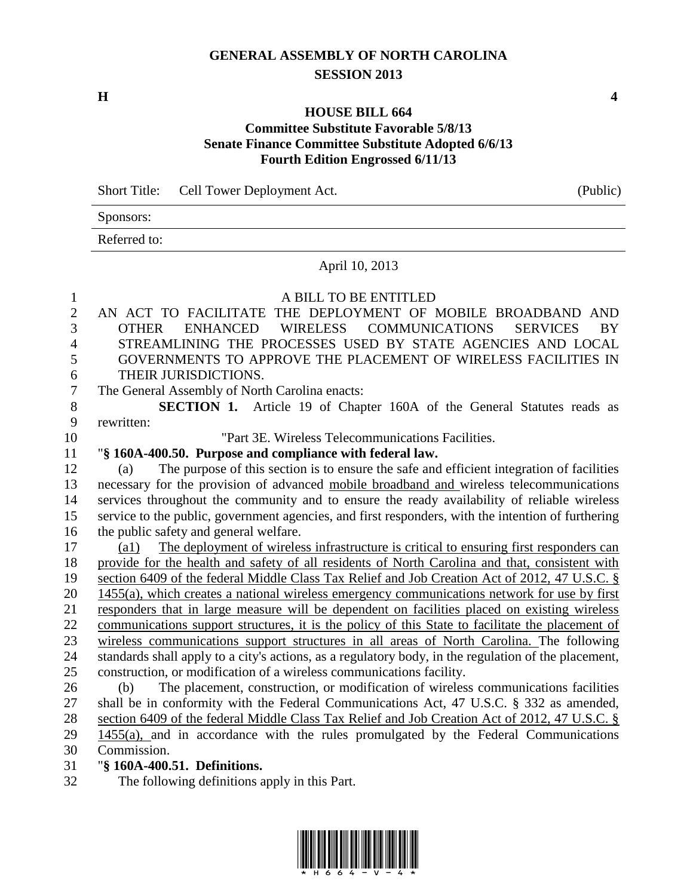## **GENERAL ASSEMBLY OF NORTH CAROLINA SESSION 2013**

**H 4**

## **HOUSE BILL 664 Committee Substitute Favorable 5/8/13 Senate Finance Committee Substitute Adopted 6/6/13 Fourth Edition Engrossed 6/11/13**

Short Title: Cell Tower Deployment Act. (Public) Sponsors: Referred to: April 10, 2013 A BILL TO BE ENTITLED

- AN ACT TO FACILITATE THE DEPLOYMENT OF MOBILE BROADBAND AND OTHER ENHANCED WIRELESS COMMUNICATIONS SERVICES BY STREAMLINING THE PROCESSES USED BY STATE AGENCIES AND LOCAL GOVERNMENTS TO APPROVE THE PLACEMENT OF WIRELESS FACILITIES IN THEIR JURISDICTIONS. The General Assembly of North Carolina enacts: **SECTION 1.** Article 19 of Chapter 160A of the General Statutes reads as rewritten: "Part 3E. Wireless Telecommunications Facilities. "**§ 160A-400.50. Purpose and compliance with federal law.** (a) The purpose of this section is to ensure the safe and efficient integration of facilities necessary for the provision of advanced mobile broadband and wireless telecommunications services throughout the community and to ensure the ready availability of reliable wireless service to the public, government agencies, and first responders, with the intention of furthering the public safety and general welfare. (a1) The deployment of wireless infrastructure is critical to ensuring first responders can provide for the health and safety of all residents of North Carolina and that, consistent with section 6409 of the federal Middle Class Tax Relief and Job Creation Act of 2012, 47 U.S.C. § 1455(a), which creates a national wireless emergency communications network for use by first responders that in large measure will be dependent on facilities placed on existing wireless communications support structures, it is the policy of this State to facilitate the placement of wireless communications support structures in all areas of North Carolina. The following standards shall apply to a city's actions, as a regulatory body, in the regulation of the placement, construction, or modification of a wireless communications facility. (b) The placement, construction, or modification of wireless communications facilities shall be in conformity with the Federal Communications Act, 47 U.S.C. § 332 as amended, section 6409 of the federal Middle Class Tax Relief and Job Creation Act of 2012, 47 U.S.C. § 1455(a), and in accordance with the rules promulgated by the Federal Communications Commission. "**§ 160A-400.51. Definitions.**
- The following definitions apply in this Part.

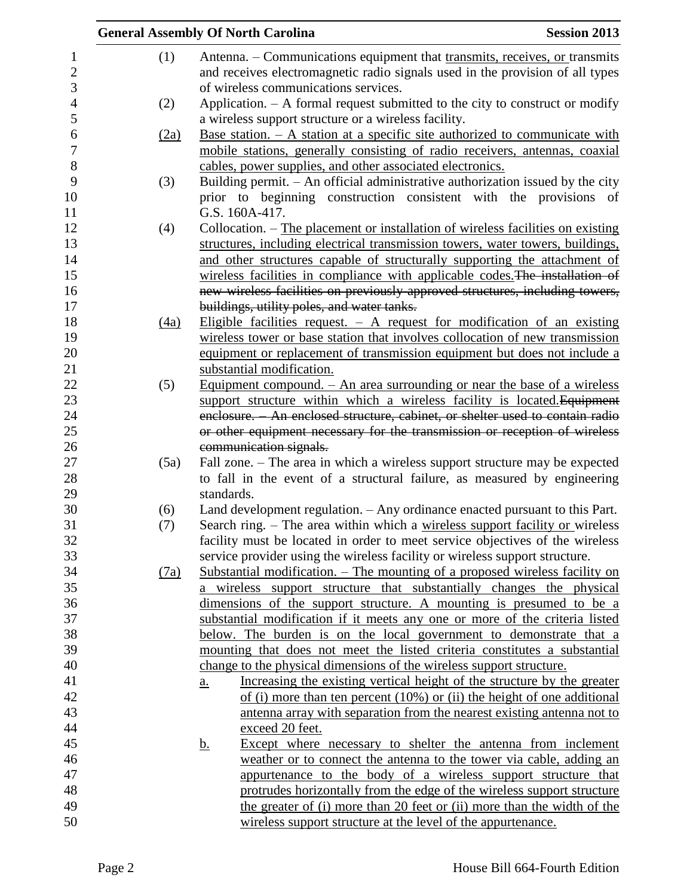|                                   |            | <b>General Assembly Of North Carolina</b>                                                                                                                                                                                                      | <b>Session 2013</b> |
|-----------------------------------|------------|------------------------------------------------------------------------------------------------------------------------------------------------------------------------------------------------------------------------------------------------|---------------------|
| $\mathbf{1}$<br>$\mathbf{2}$<br>3 | (1)        | Antenna. – Communications equipment that transmits, receives, or transmits<br>and receives electromagnetic radio signals used in the provision of all types<br>of wireless communications services.                                            |                     |
| $\overline{4}$<br>5               | (2)        | Application. $-$ A formal request submitted to the city to construct or modify<br>a wireless support structure or a wireless facility.                                                                                                         |                     |
| 6<br>7                            | (2a)       | <u>Base station. <math>- A</math> station at a specific site authorized to communicate with</u><br>mobile stations, generally consisting of radio receivers, antennas, coaxial                                                                 |                     |
| $8\,$<br>9<br>10                  | (3)        | cables, power supplies, and other associated electronics.<br>Building permit. - An official administrative authorization issued by the city<br>prior to beginning construction consistent with the provisions of<br>G.S. 160A-417.             |                     |
| 11<br>12<br>13<br>14              | (4)        | Collocation. - The placement or installation of wireless facilities on existing<br>structures, including electrical transmission towers, water towers, buildings,<br>and other structures capable of structurally supporting the attachment of |                     |
| 15<br>16<br>17                    |            | wireless facilities in compliance with applicable codes. The installation of<br>new wireless facilities on previously approved structures, including towers,<br>buildings, utility poles, and water tanks.                                     |                     |
| 18<br>19<br>20                    | (4a)       | Eligible facilities request. $-$ A request for modification of an existing<br>wireless tower or base station that involves collocation of new transmission<br>equipment or replacement of transmission equipment but does not include a        |                     |
| 21<br>22                          | (5)        | substantial modification.<br><u>Equipment compound. <math>-</math> An area surrounding or near the base of a wireless</u>                                                                                                                      |                     |
| 23<br>24<br>25                    |            | support structure within which a wireless facility is located. Equipment<br>enclosure. An enclosed structure, cabinet, or shelter used to contain radio<br>or other equipment necessary for the transmission or reception of wireless          |                     |
| 26<br>27<br>28                    | (5a)       | communication signals.<br>Fall zone. – The area in which a wireless support structure may be expected<br>to fall in the event of a structural failure, as measured by engineering                                                              |                     |
| 29<br>30<br>31                    | (6)<br>(7) | standards.<br>Land development regulation. - Any ordinance enacted pursuant to this Part.<br>Search ring. - The area within which a wireless support facility or wireless                                                                      |                     |
| 32<br>33<br>34                    | (7a)       | facility must be located in order to meet service objectives of the wireless<br>service provider using the wireless facility or wireless support structure.<br>Substantial modification. – The mounting of a proposed wireless facility on     |                     |
| 35<br>36                          |            | a wireless support structure that substantially changes the physical<br>dimensions of the support structure. A mounting is presumed to be a                                                                                                    |                     |
| 37<br>38<br>39                    |            | substantial modification if it meets any one or more of the criteria listed<br>below. The burden is on the local government to demonstrate that a<br>mounting that does not meet the listed criteria constitutes a substantial                 |                     |
| 40<br>41                          |            | change to the physical dimensions of the wireless support structure.<br>Increasing the existing vertical height of the structure by the greater<br>a.                                                                                          |                     |
| 42<br>43<br>44                    |            | of (i) more than ten percent $(10\%)$ or (ii) the height of one additional<br>antenna array with separation from the nearest existing antenna not to<br>exceed 20 feet.                                                                        |                     |
| 45<br>46                          |            | Except where necessary to shelter the antenna from inclement<br><u>b.</u><br>weather or to connect the antenna to the tower via cable, adding an                                                                                               |                     |
| 47<br>48<br>49                    |            | appurtenance to the body of a wireless support structure that<br>protrudes horizontally from the edge of the wireless support structure<br>the greater of (i) more than 20 feet or (ii) more than the width of the                             |                     |
| 50                                |            | wireless support structure at the level of the appurtenance.                                                                                                                                                                                   |                     |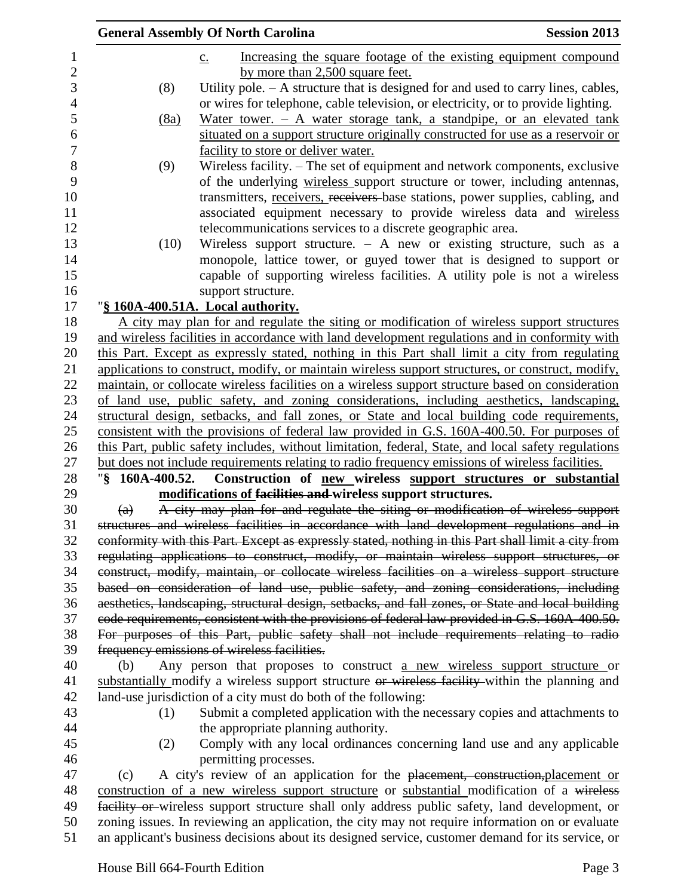|                   | <b>General Assembly Of North Carolina</b>                                                                                                                                                  | <b>Session 2013</b> |
|-------------------|--------------------------------------------------------------------------------------------------------------------------------------------------------------------------------------------|---------------------|
|                   | Increasing the square footage of the existing equipment compound<br>$\underline{c}$ .                                                                                                      |                     |
|                   | by more than 2,500 square feet.                                                                                                                                                            |                     |
| (8)               | Utility pole. $- A$ structure that is designed for and used to carry lines, cables,                                                                                                        |                     |
|                   | or wires for telephone, cable television, or electricity, or to provide lighting.                                                                                                          |                     |
| (8a)              | Water tower. $-$ A water storage tank, a standpipe, or an elevated tank                                                                                                                    |                     |
|                   | situated on a support structure originally constructed for use as a reservoir or                                                                                                           |                     |
|                   | facility to store or deliver water.                                                                                                                                                        |                     |
| (9)               | Wireless facility. – The set of equipment and network components, exclusive                                                                                                                |                     |
|                   | of the underlying wireless support structure or tower, including antennas,                                                                                                                 |                     |
|                   | transmitters, receivers, receivers base stations, power supplies, cabling, and                                                                                                             |                     |
|                   | associated equipment necessary to provide wireless data and wireless                                                                                                                       |                     |
|                   | telecommunications services to a discrete geographic area.                                                                                                                                 |                     |
| (10)              | Wireless support structure. $-$ A new or existing structure, such as a                                                                                                                     |                     |
|                   | monopole, lattice tower, or guyed tower that is designed to support or                                                                                                                     |                     |
|                   | capable of supporting wireless facilities. A utility pole is not a wireless                                                                                                                |                     |
|                   | support structure.                                                                                                                                                                         |                     |
|                   | "§ 160A-400.51A. Local authority.                                                                                                                                                          |                     |
|                   | A city may plan for and regulate the siting or modification of wireless support structures                                                                                                 |                     |
|                   | and wireless facilities in accordance with land development regulations and in conformity with                                                                                             |                     |
|                   | this Part. Except as expressly stated, nothing in this Part shall limit a city from regulating                                                                                             |                     |
|                   | applications to construct, modify, or maintain wireless support structures, or construct, modify,                                                                                          |                     |
|                   | maintain, or collocate wireless facilities on a wireless support structure based on consideration                                                                                          |                     |
|                   | of land use, public safety, and zoning considerations, including aesthetics, landscaping,                                                                                                  |                     |
|                   | structural design, setbacks, and fall zones, or State and local building code requirements,<br>consistent with the provisions of federal law provided in G.S. 160A-400.50. For purposes of |                     |
|                   | this Part, public safety includes, without limitation, federal, State, and local safety regulations                                                                                        |                     |
|                   | but does not include requirements relating to radio frequency emissions of wireless facilities.                                                                                            |                     |
| "§ 160A-400.52.   | Construction of new wireless support structures or substantial                                                                                                                             |                     |
|                   | modifications of facilities and wireless support structures.                                                                                                                               |                     |
| $\left( a\right)$ | A city may plan for and regulate the siting or modification of wireless support                                                                                                            |                     |
|                   | structures and wireless facilities in accordance with land development regulations and in                                                                                                  |                     |
|                   | conformity with this Part. Except as expressly stated, nothing in this Part shall limit a city from                                                                                        |                     |
|                   | regulating applications to construct, modify, or maintain wireless support structures, or                                                                                                  |                     |
|                   | construct, modify, maintain, or collocate wireless facilities on a wireless support structure                                                                                              |                     |
|                   | based on consideration of land use, public safety, and zoning considerations, including                                                                                                    |                     |
|                   | aesthetics, landscaping, structural design, setbacks, and fall zones, or State and local building                                                                                          |                     |
|                   | code requirements, consistent with the provisions of federal law provided in G.S. 160A-400.50.                                                                                             |                     |
|                   | For purposes of this Part, public safety shall not include requirements relating to radio                                                                                                  |                     |
|                   | frequency emissions of wireless facilities.                                                                                                                                                |                     |
| (b)               | Any person that proposes to construct a new wireless support structure or                                                                                                                  |                     |
|                   | substantially modify a wireless support structure or wireless facility within the planning and                                                                                             |                     |
|                   | land-use jurisdiction of a city must do both of the following:                                                                                                                             |                     |
| (1)               | Submit a completed application with the necessary copies and attachments to                                                                                                                |                     |
|                   | the appropriate planning authority.                                                                                                                                                        |                     |
| (2)               | Comply with any local ordinances concerning land use and any applicable                                                                                                                    |                     |
|                   | permitting processes.                                                                                                                                                                      |                     |
| (c)               | A city's review of an application for the placement, construction, placement or                                                                                                            |                     |
|                   | construction of a new wireless support structure or substantial modification of a wireless                                                                                                 |                     |
|                   | facility or wireless support structure shall only address public safety, land development, or                                                                                              |                     |
|                   | zoning issues. In reviewing an application, the city may not require information on or evaluate                                                                                            |                     |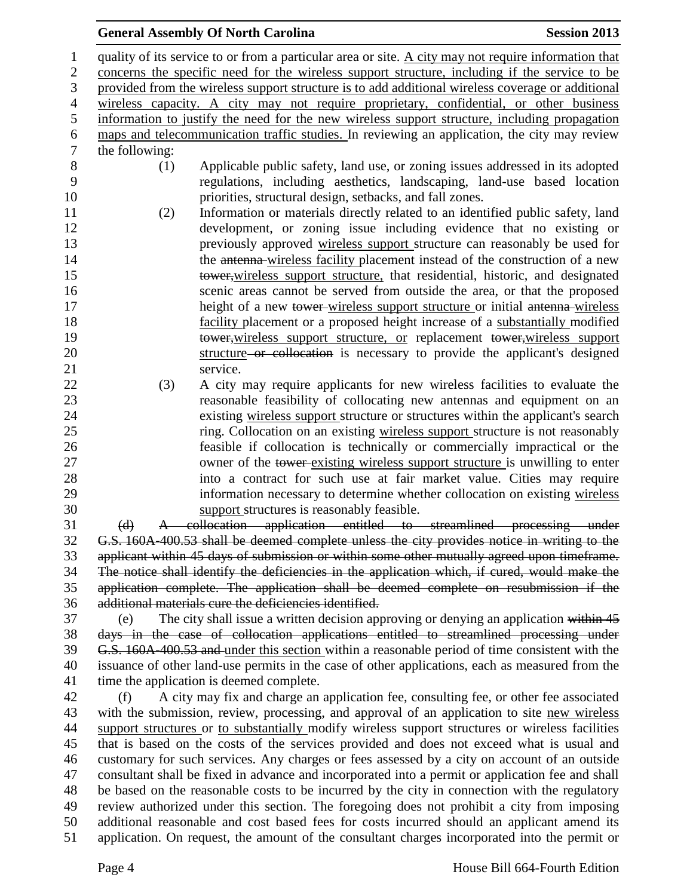## **General Assembly Of North Carolina Session 2013**

 quality of its service to or from a particular area or site. A city may not require information that concerns the specific need for the wireless support structure, including if the service to be provided from the wireless support structure is to add additional wireless coverage or additional wireless capacity. A city may not require proprietary, confidential, or other business information to justify the need for the new wireless support structure, including propagation 6 maps and telecommunication traffic studies. In reviewing an application, the city may review the following: the following: (1) Applicable public safety, land use, or zoning issues addressed in its adopted regulations, including aesthetics, landscaping, land-use based location priorities, structural design, setbacks, and fall zones. (2) Information or materials directly related to an identified public safety, land development, or zoning issue including evidence that no existing or previously approved wireless support structure can reasonably be used for 14 the antenna-wireless facility placement instead of the construction of a new tower,wireless support structure, that residential, historic, and designated scenic areas cannot be served from outside the area, or that the proposed 17 height of a new tower wireless support structure or initial antenna wireless facility placement or a proposed height increase of a substantially modified 19 tower, wireless support structure, or replacement tower, wireless support structure or collocation is necessary to provide the applicant's designed 21 service. (3) A city may require applicants for new wireless facilities to evaluate the reasonable feasibility of collocating new antennas and equipment on an existing wireless support structure or structures within the applicant's search ring. Collocation on an existing wireless support structure is not reasonably feasible if collocation is technically or commercially impractical or the 27 owner of the tower-existing wireless support structure is unwilling to enter into a contract for such use at fair market value. Cities may require information necessary to determine whether collocation on existing wireless support structures is reasonably feasible. (d) A collocation application entitled to streamlined processing under G.S. 160A-400.53 shall be deemed complete unless the city provides notice in writing to the applicant within 45 days of submission or within some other mutually agreed upon timeframe. The notice shall identify the deficiencies in the application which, if cured, would make the application complete. The application shall be deemed complete on resubmission if the additional materials cure the deficiencies identified. (e) The city shall issue a written decision approving or denying an application within 45 days in the case of collocation applications entitled to streamlined processing under 39 G.S. 160A-400.53 and under this section within a reasonable period of time consistent with the issuance of other land-use permits in the case of other applications, each as measured from the time the application is deemed complete. (f) A city may fix and charge an application fee, consulting fee, or other fee associated with the submission, review, processing, and approval of an application to site new wireless support structures or to substantially modify wireless support structures or wireless facilities that is based on the costs of the services provided and does not exceed what is usual and customary for such services. Any charges or fees assessed by a city on account of an outside consultant shall be fixed in advance and incorporated into a permit or application fee and shall be based on the reasonable costs to be incurred by the city in connection with the regulatory review authorized under this section. The foregoing does not prohibit a city from imposing additional reasonable and cost based fees for costs incurred should an applicant amend its application. On request, the amount of the consultant charges incorporated into the permit or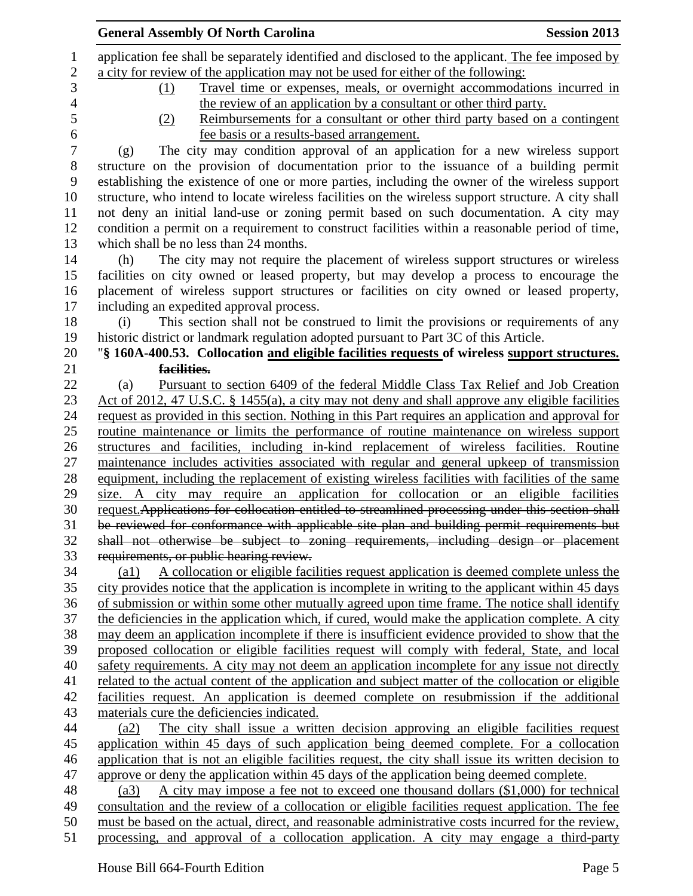| <b>General Assembly Of North Carolina</b>                                                                    | <b>Session 2013</b> |
|--------------------------------------------------------------------------------------------------------------|---------------------|
| application fee shall be separately identified and disclosed to the applicant. The fee imposed by            |                     |
| a city for review of the application may not be used for either of the following:                            |                     |
| Travel time or expenses, meals, or overnight accommodations incurred in<br>(1)                               |                     |
| the review of an application by a consultant or other third party.                                           |                     |
| Reimbursements for a consultant or other third party based on a contingent<br>(2)                            |                     |
| fee basis or a results-based arrangement.                                                                    |                     |
| The city may condition approval of an application for a new wireless support<br>(g)                          |                     |
| structure on the provision of documentation prior to the issuance of a building permit                       |                     |
| establishing the existence of one or more parties, including the owner of the wireless support               |                     |
| structure, who intend to locate wireless facilities on the wireless support structure. A city shall          |                     |
| not deny an initial land-use or zoning permit based on such documentation. A city may                        |                     |
| condition a permit on a requirement to construct facilities within a reasonable period of time,              |                     |
| which shall be no less than 24 months.                                                                       |                     |
| The city may not require the placement of wireless support structures or wireless<br>(h)                     |                     |
| facilities on city owned or leased property, but may develop a process to encourage the                      |                     |
| placement of wireless support structures or facilities on city owned or leased property,                     |                     |
| including an expedited approval process.                                                                     |                     |
| This section shall not be construed to limit the provisions or requirements of any<br>(i)                    |                     |
| historic district or landmark regulation adopted pursuant to Part 3C of this Article.                        |                     |
| "§ 160A-400.53. Collocation and eligible facilities requests of wireless support structures.                 |                     |
| facilities.                                                                                                  |                     |
| Pursuant to section 6409 of the federal Middle Class Tax Relief and Job Creation<br>(a)                      |                     |
| Act of 2012, 47 U.S.C. § 1455(a), a city may not deny and shall approve any eligible facilities              |                     |
| request as provided in this section. Nothing in this Part requires an application and approval for           |                     |
| routine maintenance or limits the performance of routine maintenance on wireless support                     |                     |
| structures and facilities, including in-kind replacement of wireless facilities. Routine                     |                     |
| maintenance includes activities associated with regular and general upkeep of transmission                   |                     |
| equipment, including the replacement of existing wireless facilities with facilities of the same             |                     |
| size. A city may require an application for collocation or an eligible facilities                            |                     |
| request. Applications for collocation entitled to streamlined processing under this section shall            |                     |
| be reviewed for conformance with applicable site plan and building permit requirements but                   |                     |
| shall not otherwise be subject to zoning requirements, including design or placement                         |                     |
| requirements, or public hearing review.                                                                      |                     |
| A collocation or eligible facilities request application is deemed complete unless the<br>$\left( a1\right)$ |                     |
| city provides notice that the application is incomplete in writing to the applicant within 45 days           |                     |
| of submission or within some other mutually agreed upon time frame. The notice shall identify                |                     |
| the deficiencies in the application which, if cured, would make the application complete. A city             |                     |
| may deem an application incomplete if there is insufficient evidence provided to show that the               |                     |
| proposed collocation or eligible facilities request will comply with federal, State, and local               |                     |
| safety requirements. A city may not deem an application incomplete for any issue not directly                |                     |
| related to the actual content of the application and subject matter of the collocation or eligible           |                     |
| facilities request. An application is deemed complete on resubmission if the additional                      |                     |
| materials cure the deficiencies indicated.                                                                   |                     |
| The city shall issue a written decision approving an eligible facilities request<br>(a2)                     |                     |
| application within 45 days of such application being deemed complete. For a collocation                      |                     |
| application that is not an eligible facilities request, the city shall issue its written decision to         |                     |
| approve or deny the application within 45 days of the application being deemed complete.                     |                     |
| A city may impose a fee not to exceed one thousand dollars $(\$1,000)$ for technical<br>(a3)                 |                     |
| consultation and the review of a collocation or eligible facilities request application. The fee             |                     |
| must be based on the actual, direct, and reasonable administrative costs incurred for the review,            |                     |
| processing, and approval of a collocation application. A city may engage a third-party                       |                     |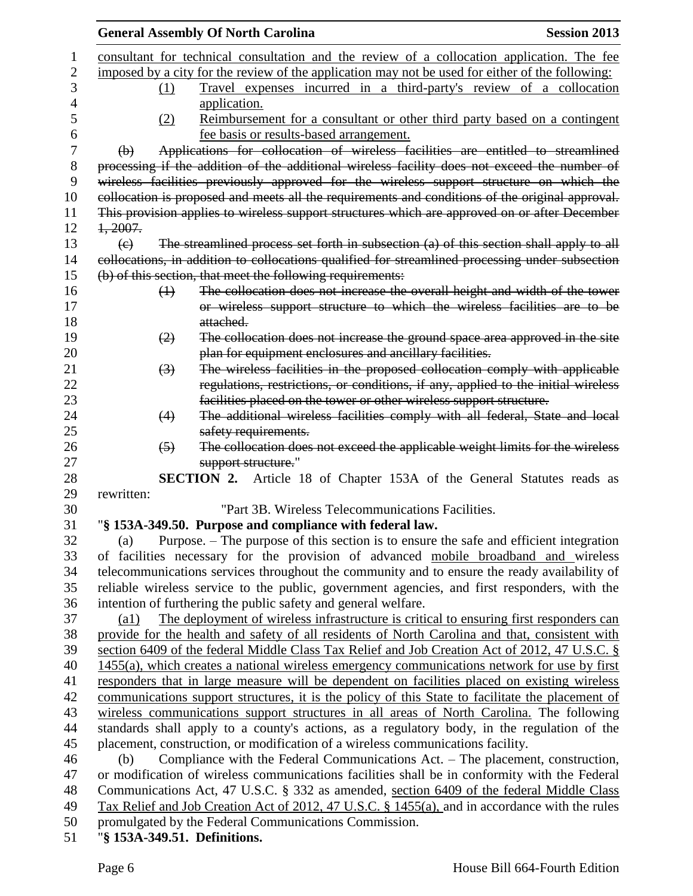|                                     | <b>General Assembly Of North Carolina</b>                                                        | <b>Session 2013</b> |
|-------------------------------------|--------------------------------------------------------------------------------------------------|---------------------|
|                                     | consultant for technical consultation and the review of a collocation application. The fee       |                     |
|                                     | imposed by a city for the review of the application may not be used for either of the following: |                     |
| (1)                                 | Travel expenses incurred in a third-party's review of a collocation                              |                     |
|                                     | application.                                                                                     |                     |
| (2)                                 | Reimbursement for a consultant or other third party based on a contingent                        |                     |
|                                     | fee basis or results-based arrangement.                                                          |                     |
| $\Theta$                            | Applications for collocation of wireless facilities are entitled to streamlined                  |                     |
|                                     | processing if the addition of the additional wireless facility does not exceed the number of     |                     |
|                                     | wireless facilities previously approved for the wireless support structure on which the          |                     |
|                                     | collocation is proposed and meets all the requirements and conditions of the original approval.  |                     |
|                                     | This provision applies to wireless support structures which are approved on or after December    |                     |
| 1,2007.                             |                                                                                                  |                     |
| $\left(\epsilon\right)$             | The streamlined process set forth in subsection (a) of this section shall apply to all           |                     |
|                                     | collocations, in addition to collocations qualified for streamlined processing under subsection  |                     |
|                                     | (b) of this section, that meet the following requirements:                                       |                     |
| $\bigoplus$                         | The collocation does not increase the overall height and width of the tower                      |                     |
|                                     | or wireless support structure to which the wireless facilities are to be                         |                     |
|                                     | attached.                                                                                        |                     |
| $\left( 2\right)$                   | The collocation does not increase the ground space area approved in the site                     |                     |
|                                     | plan for equipment enclosures and ancillary facilities.                                          |                     |
| $\left(3\right)$                    | The wireless facilities in the proposed collocation comply with applicable                       |                     |
|                                     | regulations, restrictions, or conditions, if any, applied to the initial wireless                |                     |
|                                     | facilities placed on the tower or other wireless support structure.                              |                     |
| (4)                                 | The additional wireless facilities comply with all federal, State and local                      |                     |
|                                     | safety requirements.                                                                             |                     |
| $\left(5\right)$                    | The collocation does not exceed the applicable weight limits for the wireless                    |                     |
|                                     | support structure."                                                                              |                     |
|                                     | SECTION 2. Article 18 of Chapter 153A of the General Statutes reads as                           |                     |
| rewritten:                          |                                                                                                  |                     |
|                                     | "Part 3B. Wireless Telecommunications Facilities.                                                |                     |
|                                     | "§ 153A-349.50. Purpose and compliance with federal law.                                         |                     |
| (a)                                 | Purpose. – The purpose of this section is to ensure the safe and efficient integration           |                     |
|                                     | of facilities necessary for the provision of advanced mobile broadband and wireless              |                     |
|                                     | telecommunications services throughout the community and to ensure the ready availability of     |                     |
|                                     | reliable wireless service to the public, government agencies, and first responders, with the     |                     |
|                                     | intention of furthering the public safety and general welfare.                                   |                     |
| $\left( a1\right)$                  | The deployment of wireless infrastructure is critical to ensuring first responders can           |                     |
|                                     | provide for the health and safety of all residents of North Carolina and that, consistent with   |                     |
|                                     | section 6409 of the federal Middle Class Tax Relief and Job Creation Act of 2012, 47 U.S.C. §    |                     |
|                                     | 1455(a), which creates a national wireless emergency communications network for use by first     |                     |
|                                     | responders that in large measure will be dependent on facilities placed on existing wireless     |                     |
|                                     | communications support structures, it is the policy of this State to facilitate the placement of |                     |
|                                     | wireless communications support structures in all areas of North Carolina. The following         |                     |
|                                     | standards shall apply to a county's actions, as a regulatory body, in the regulation of the      |                     |
|                                     | placement, construction, or modification of a wireless communications facility.                  |                     |
| (b)                                 | Compliance with the Federal Communications Act. - The placement, construction,                   |                     |
|                                     | or modification of wireless communications facilities shall be in conformity with the Federal    |                     |
|                                     | Communications Act, 47 U.S.C. § 332 as amended, section 6409 of the federal Middle Class         |                     |
|                                     | Tax Relief and Job Creation Act of 2012, 47 U.S.C. § 1455(a), and in accordance with the rules   |                     |
|                                     | promulgated by the Federal Communications Commission.                                            |                     |
| $\frac{18.1524}{240.51}$ Definition |                                                                                                  |                     |

"**§ 153A-349.51. Definitions.**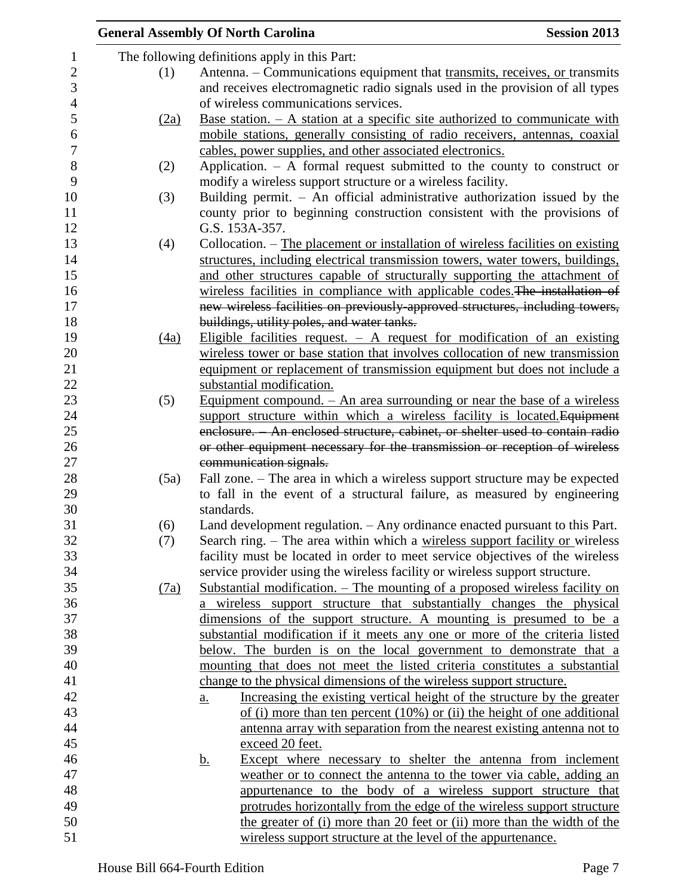|                  |      | <b>General Assembly Of North Carolina</b>                                                       | <b>Session 2013</b> |
|------------------|------|-------------------------------------------------------------------------------------------------|---------------------|
| $\mathbf{1}$     |      | The following definitions apply in this Part:                                                   |                     |
| $\boldsymbol{2}$ | (1)  | Antenna. - Communications equipment that transmits, receives, or transmits                      |                     |
| 3                |      | and receives electromagnetic radio signals used in the provision of all types                   |                     |
| $\overline{4}$   |      | of wireless communications services.                                                            |                     |
| 5                | (2a) | <u>Base station. <math>- A</math> station at a specific site authorized to communicate with</u> |                     |
| 6                |      | mobile stations, generally consisting of radio receivers, antennas, coaxial                     |                     |
| $\boldsymbol{7}$ |      | cables, power supplies, and other associated electronics.                                       |                     |
| $8\,$            | (2)  | Application. $-$ A formal request submitted to the county to construct or                       |                     |
| 9                |      | modify a wireless support structure or a wireless facility.                                     |                     |
| 10               | (3)  | Building permit. $-$ An official administrative authorization issued by the                     |                     |
| 11               |      | county prior to beginning construction consistent with the provisions of                        |                     |
| 12               |      | G.S. 153A-357.                                                                                  |                     |
| 13               | (4)  | Collocation. – The placement or installation of wireless facilities on existing                 |                     |
| 14               |      | structures, including electrical transmission towers, water towers, buildings,                  |                     |
| 15               |      | and other structures capable of structurally supporting the attachment of                       |                     |
| 16               |      | wireless facilities in compliance with applicable codes. The installation of                    |                     |
| 17               |      | new wireless facilities on previously-approved structures, including towers,                    |                     |
| 18               |      | buildings, utility poles, and water tanks.                                                      |                     |
| 19               | (4a) | Eligible facilities request. $-$ A request for modification of an existing                      |                     |
| 20               |      | wireless tower or base station that involves collocation of new transmission                    |                     |
| 21               |      | equipment or replacement of transmission equipment but does not include a                       |                     |
| 22               |      | substantial modification.                                                                       |                     |
| 23               | (5)  | <u>Equipment compound. <math>-</math> An area surrounding or near the base of a wireless</u>    |                     |
| 24               |      | support structure within which a wireless facility is located. Equipment                        |                     |
| 25               |      | enclosure. - An enclosed structure, cabinet, or shelter used to contain radio                   |                     |
| 26               |      | or other equipment necessary for the transmission or reception of wireless                      |                     |
| 27               |      | communication signals.                                                                          |                     |
| 28               | (5a) | Fall zone. – The area in which a wireless support structure may be expected                     |                     |
| 29               |      | to fall in the event of a structural failure, as measured by engineering                        |                     |
| 30               |      | standards.                                                                                      |                     |
| 31               | (6)  | Land development regulation. - Any ordinance enacted pursuant to this Part.                     |                     |
| 32               | (7)  | Search ring. – The area within which a wireless support facility or wireless                    |                     |
| 33               |      | facility must be located in order to meet service objectives of the wireless                    |                     |
| 34               |      | service provider using the wireless facility or wireless support structure.                     |                     |
| 35               | (7a) | Substantial modification. – The mounting of a proposed wireless facility on                     |                     |
| 36               |      | a wireless support structure that substantially changes the physical                            |                     |
| 37               |      | dimensions of the support structure. A mounting is presumed to be a                             |                     |
| 38               |      | substantial modification if it meets any one or more of the criteria listed                     |                     |
| 39               |      | below. The burden is on the local government to demonstrate that a                              |                     |
| 40               |      | mounting that does not meet the listed criteria constitutes a substantial                       |                     |
| 41               |      | change to the physical dimensions of the wireless support structure.                            |                     |
| 42               |      | Increasing the existing vertical height of the structure by the greater<br><u>a.</u>            |                     |
| 43               |      | of (i) more than ten percent $(10\%)$ or (ii) the height of one additional                      |                     |
| 44               |      | antenna array with separation from the nearest existing antenna not to                          |                     |
| 45               |      | exceed 20 feet.                                                                                 |                     |
| 46               |      | Except where necessary to shelter the antenna from inclement<br><u>b.</u>                       |                     |
| 47               |      | weather or to connect the antenna to the tower via cable, adding an                             |                     |
| 48               |      | appurtenance to the body of a wireless support structure that                                   |                     |
| 49               |      | protrudes horizontally from the edge of the wireless support structure                          |                     |
| 50               |      | the greater of (i) more than 20 feet or (ii) more than the width of the                         |                     |
| 51               |      | wireless support structure at the level of the appurtenance.                                    |                     |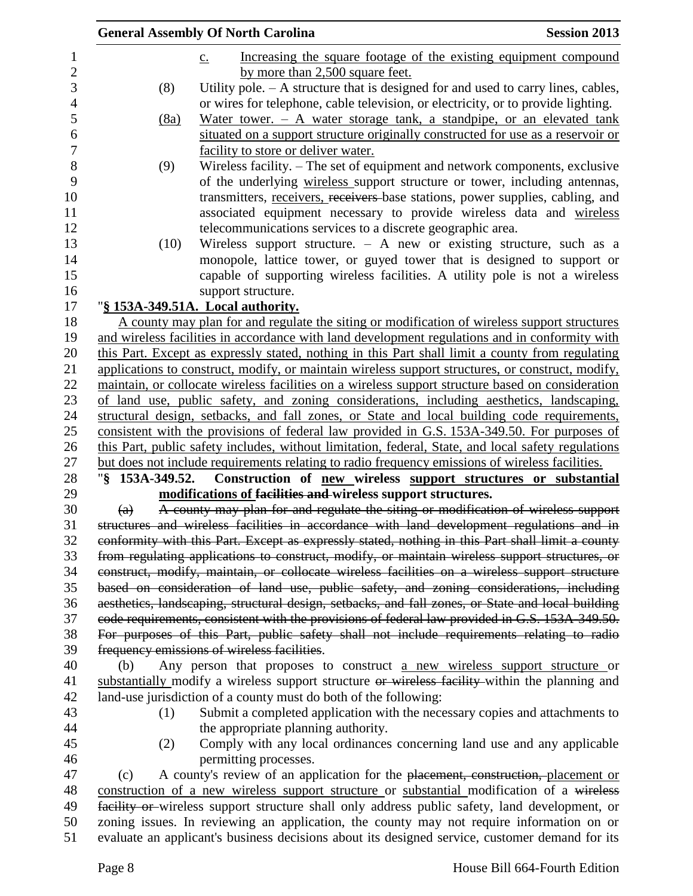|                  |                   | <b>General Assembly Of North Carolina</b>                                                           | <b>Session 2013</b> |
|------------------|-------------------|-----------------------------------------------------------------------------------------------------|---------------------|
|                  |                   | Increasing the square footage of the existing equipment compound<br>$\underline{c}$ .               |                     |
| $\boldsymbol{2}$ |                   | by more than 2,500 square feet.                                                                     |                     |
| 3                | (8)               | Utility pole. $- A$ structure that is designed for and used to carry lines, cables,                 |                     |
|                  |                   | or wires for telephone, cable television, or electricity, or to provide lighting.                   |                     |
|                  | (8a)              | Water tower. $-$ A water storage tank, a standpipe, or an elevated tank                             |                     |
|                  |                   | situated on a support structure originally constructed for use as a reservoir or                    |                     |
|                  |                   | facility to store or deliver water.                                                                 |                     |
|                  | (9)               | Wireless facility. – The set of equipment and network components, exclusive                         |                     |
|                  |                   | of the underlying wireless support structure or tower, including antennas,                          |                     |
|                  |                   | transmitters, receivers, receivers base stations, power supplies, cabling, and                      |                     |
|                  |                   | associated equipment necessary to provide wireless data and wireless                                |                     |
|                  |                   | telecommunications services to a discrete geographic area.                                          |                     |
|                  | (10)              | Wireless support structure. $-$ A new or existing structure, such as a                              |                     |
|                  |                   | monopole, lattice tower, or guyed tower that is designed to support or                              |                     |
|                  |                   | capable of supporting wireless facilities. A utility pole is not a wireless                         |                     |
|                  |                   | support structure.                                                                                  |                     |
|                  |                   | "§ 153A-349.51A. Local authority.                                                                   |                     |
|                  |                   | A county may plan for and regulate the siting or modification of wireless support structures        |                     |
|                  |                   | and wireless facilities in accordance with land development regulations and in conformity with      |                     |
|                  |                   | this Part. Except as expressly stated, nothing in this Part shall limit a county from regulating    |                     |
|                  |                   | applications to construct, modify, or maintain wireless support structures, or construct, modify,   |                     |
|                  |                   | maintain, or collocate wireless facilities on a wireless support structure based on consideration   |                     |
|                  |                   | of land use, public safety, and zoning considerations, including aesthetics, landscaping,           |                     |
|                  |                   | structural design, setbacks, and fall zones, or State and local building code requirements,         |                     |
|                  |                   | consistent with the provisions of federal law provided in G.S. 153A-349.50. For purposes of         |                     |
|                  |                   | this Part, public safety includes, without limitation, federal, State, and local safety regulations |                     |
|                  |                   | but does not include requirements relating to radio frequency emissions of wireless facilities.     |                     |
|                  |                   | "\\$ 153A-349.52. Construction of new wireless support structures or substantial                    |                     |
|                  |                   | modifications of facilities and wireless support structures.                                        |                     |
|                  | $\left( a\right)$ | A county may plan for and regulate the siting or modification of wireless support                   |                     |
|                  |                   | structures and wireless facilities in accordance with land development regulations and in           |                     |
|                  |                   | conformity with this Part. Except as expressly stated, nothing in this Part shall limit a county    |                     |
|                  |                   | from regulating applications to construct, modify, or maintain wireless support structures, or      |                     |
|                  |                   | construct, modify, maintain, or collocate wireless facilities on a wireless support structure       |                     |
|                  |                   | based on consideration of land use, public safety, and zoning considerations, including             |                     |
|                  |                   | aesthetics, landscaping, structural design, setbacks, and fall zones, or State and local building   |                     |
|                  |                   | eode requirements, consistent with the provisions of federal law provided in G.S. 153A-349.50.      |                     |
|                  |                   | For purposes of this Part, public safety shall not include requirements relating to radio           |                     |
|                  |                   | frequency emissions of wireless facilities.                                                         |                     |
|                  | (b)               | Any person that proposes to construct a new wireless support structure or                           |                     |
|                  |                   | substantially modify a wireless support structure or wireless facility within the planning and      |                     |
|                  |                   | land-use jurisdiction of a county must do both of the following:                                    |                     |
|                  |                   |                                                                                                     |                     |
|                  | (1)               | Submit a completed application with the necessary copies and attachments to                         |                     |
|                  |                   | the appropriate planning authority.                                                                 |                     |
|                  | (2)               | Comply with any local ordinances concerning land use and any applicable                             |                     |
|                  |                   | permitting processes.                                                                               |                     |
|                  | (c)               | A county's review of an application for the placement, construction, placement or                   |                     |
|                  |                   | construction of a new wireless support structure or substantial modification of a wireless          |                     |
|                  |                   | facility or wireless support structure shall only address public safety, land development, or       |                     |
|                  |                   | zoning issues. In reviewing an application, the county may not require information on or            |                     |
|                  |                   | evaluate an applicant's business decisions about its designed service, customer demand for its      |                     |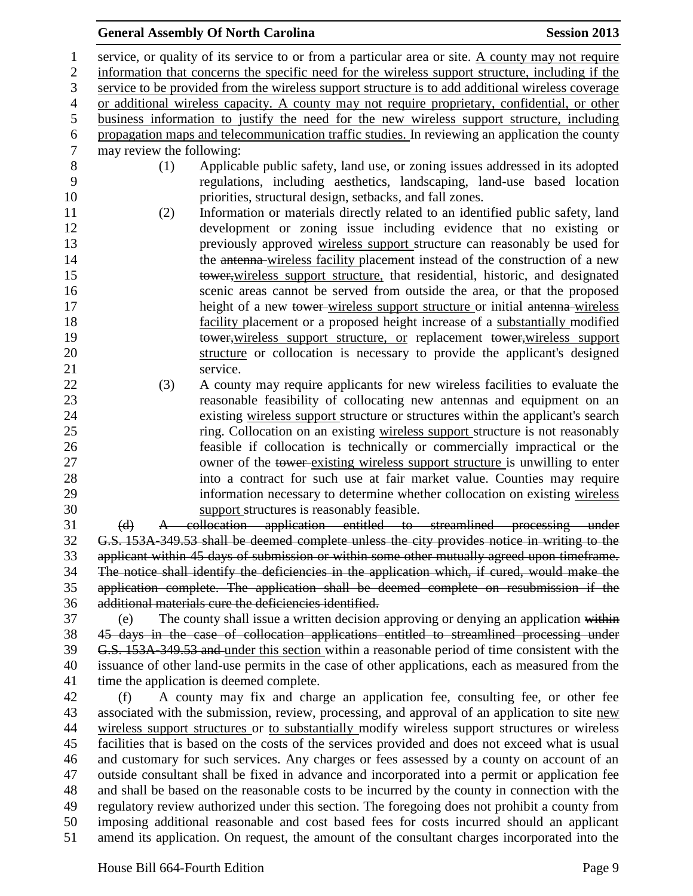## service, or quality of its service to or from a particular area or site. A county may not require information that concerns the specific need for the wireless support structure, including if the service to be provided from the wireless support structure is to add additional wireless coverage or additional wireless capacity. A county may not require proprietary, confidential, or other business information to justify the need for the new wireless support structure, including 6 propagation maps and telecommunication traffic studies. In reviewing an application the county<br>
7 may review the following: may review the following: (1) Applicable public safety, land use, or zoning issues addressed in its adopted regulations, including aesthetics, landscaping, land-use based location priorities, structural design, setbacks, and fall zones. (2) Information or materials directly related to an identified public safety, land development or zoning issue including evidence that no existing or previously approved wireless support structure can reasonably be used for 14 the antenna-wireless facility placement instead of the construction of a new tower,wireless support structure, that residential, historic, and designated scenic areas cannot be served from outside the area, or that the proposed 17 height of a new tower wireless support structure or initial antenna wireless facility placement or a proposed height increase of a substantially modified 19 tower, wireless support structure, or replacement tower, wireless support structure or collocation is necessary to provide the applicant's designed 21 service. (3) A county may require applicants for new wireless facilities to evaluate the reasonable feasibility of collocating new antennas and equipment on an existing wireless support structure or structures within the applicant's search ring. Collocation on an existing wireless support structure is not reasonably feasible if collocation is technically or commercially impractical or the 27 owner of the tower-existing wireless support structure is unwilling to enter into a contract for such use at fair market value. Counties may require information necessary to determine whether collocation on existing wireless support structures is reasonably feasible. (d) A collocation application entitled to streamlined processing under G.S. 153A-349.53 shall be deemed complete unless the city provides notice in writing to the applicant within 45 days of submission or within some other mutually agreed upon timeframe. The notice shall identify the deficiencies in the application which, if cured, would make the application complete. The application shall be deemed complete on resubmission if the additional materials cure the deficiencies identified. (e) The county shall issue a written decision approving or denying an application within 45 days in the case of collocation applications entitled to streamlined processing under G.S. 153A-349.53 and under this section within a reasonable period of time consistent with the issuance of other land-use permits in the case of other applications, each as measured from the time the application is deemed complete. (f) A county may fix and charge an application fee, consulting fee, or other fee 43 associated with the submission, review, processing, and approval of an application to site new wireless support structures or to substantially modify wireless support structures or wireless facilities that is based on the costs of the services provided and does not exceed what is usual and customary for such services. Any charges or fees assessed by a county on account of an outside consultant shall be fixed in advance and incorporated into a permit or application fee and shall be based on the reasonable costs to be incurred by the county in connection with the regulatory review authorized under this section. The foregoing does not prohibit a county from imposing additional reasonable and cost based fees for costs incurred should an applicant amend its application. On request, the amount of the consultant charges incorporated into the

**General Assembly Of North Carolina Session 2013**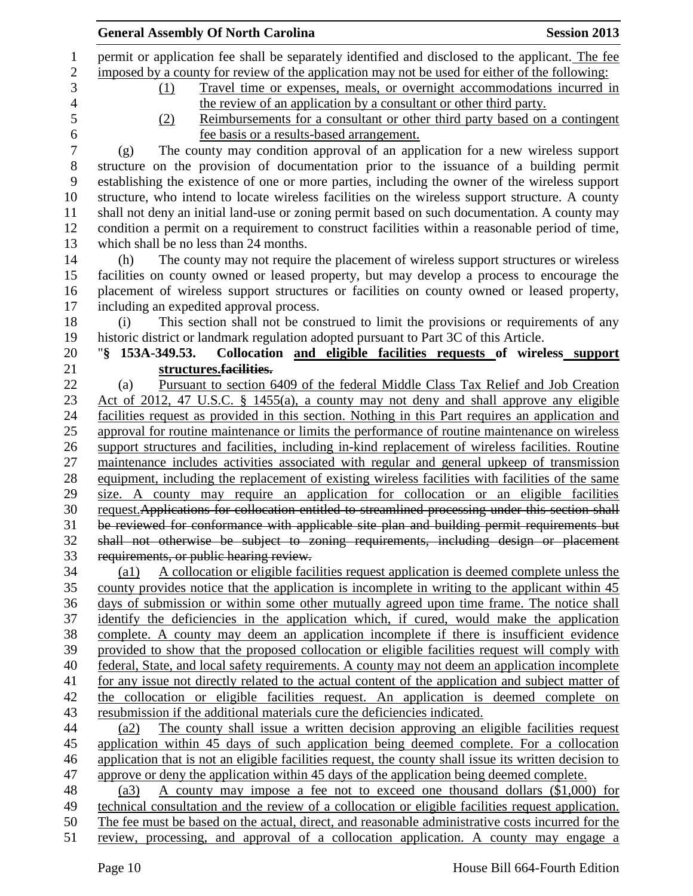|                    | <b>General Assembly Of North Carolina</b>                                                              | <b>Session 2013</b> |
|--------------------|--------------------------------------------------------------------------------------------------------|---------------------|
|                    | permit or application fee shall be separately identified and disclosed to the applicant. The fee       |                     |
|                    | imposed by a county for review of the application may not be used for either of the following:         |                     |
|                    | Travel time or expenses, meals, or overnight accommodations incurred in<br>(1)                         |                     |
|                    | the review of an application by a consultant or other third party.                                     |                     |
|                    | Reimbursements for a consultant or other third party based on a contingent<br>(2)                      |                     |
|                    | fee basis or a results-based arrangement.                                                              |                     |
| (g)                | The county may condition approval of an application for a new wireless support                         |                     |
|                    | structure on the provision of documentation prior to the issuance of a building permit                 |                     |
|                    | establishing the existence of one or more parties, including the owner of the wireless support         |                     |
|                    | structure, who intend to locate wireless facilities on the wireless support structure. A county        |                     |
|                    | shall not deny an initial land-use or zoning permit based on such documentation. A county may          |                     |
|                    | condition a permit on a requirement to construct facilities within a reasonable period of time,        |                     |
|                    | which shall be no less than 24 months.                                                                 |                     |
| (h)                | The county may not require the placement of wireless support structures or wireless                    |                     |
|                    |                                                                                                        |                     |
|                    | facilities on county owned or leased property, but may develop a process to encourage the              |                     |
|                    | placement of wireless support structures or facilities on county owned or leased property,             |                     |
|                    | including an expedited approval process.                                                               |                     |
| (i)                | This section shall not be construed to limit the provisions or requirements of any                     |                     |
|                    | historic district or landmark regulation adopted pursuant to Part 3C of this Article.                  |                     |
|                    | $\frac{153A-349.53}{153A-349.53}$<br>Collocation and eligible facilities requests of wireless support  |                     |
|                    | structures. <del>facilities.</del>                                                                     |                     |
| (a)                | <u>Pursuant to section 6409 of the federal Middle Class Tax Relief and Job Creation</u>                |                     |
|                    | <u>Act of 2012, 47 U.S.C. § 1455(a), a county may not deny and shall approve any eligible</u>          |                     |
|                    | facilities request as provided in this section. Nothing in this Part requires an application and       |                     |
|                    | approval for routine maintenance or limits the performance of routine maintenance on wireless          |                     |
|                    | support structures and facilities, including in-kind replacement of wireless facilities. Routine       |                     |
|                    | maintenance includes activities associated with regular and general upkeep of transmission             |                     |
|                    | equipment, including the replacement of existing wireless facilities with facilities of the same       |                     |
|                    | size. A county may require an application for collocation or an eligible facilities                    |                     |
|                    | request. Applications for collocation entitled to streamlined processing under this section shall      |                     |
|                    | be reviewed for conformance with applicable site plan and building permit requirements but             |                     |
|                    | shall not otherwise be subject to zoning requirements, including design or placement                   |                     |
|                    | requirements, or public hearing review.                                                                |                     |
| $\left( a1\right)$ | A collocation or eligible facilities request application is deemed complete unless the                 |                     |
|                    | county provides notice that the application is incomplete in writing to the applicant within 45        |                     |
|                    | days of submission or within some other mutually agreed upon time frame. The notice shall              |                     |
|                    | identify the deficiencies in the application which, if cured, would make the application               |                     |
|                    | complete. A county may deem an application incomplete if there is insufficient evidence                |                     |
|                    | provided to show that the proposed collocation or eligible facilities request will comply with         |                     |
|                    | federal, State, and local safety requirements. A county may not deem an application incomplete         |                     |
|                    | for any issue not directly related to the actual content of the application and subject matter of      |                     |
|                    | the collocation or eligible facilities request. An application is deemed complete on                   |                     |
|                    | resubmission if the additional materials cure the deficiencies indicated.                              |                     |
| (a2)               | The county shall issue a written decision approving an eligible facilities request                     |                     |
|                    | application within 45 days of such application being deemed complete. For a collocation                |                     |
|                    | application that is not an eligible facilities request, the county shall issue its written decision to |                     |
|                    | approve or deny the application within 45 days of the application being deemed complete.               |                     |
| (a3)               | A county may impose a fee not to exceed one thousand dollars (\$1,000) for                             |                     |
|                    | technical consultation and the review of a collocation or eligible facilities request application.     |                     |
|                    | The fee must be based on the actual, direct, and reasonable administrative costs incurred for the      |                     |
|                    | review, processing, and approval of a collocation application. A county may engage a                   |                     |
|                    |                                                                                                        |                     |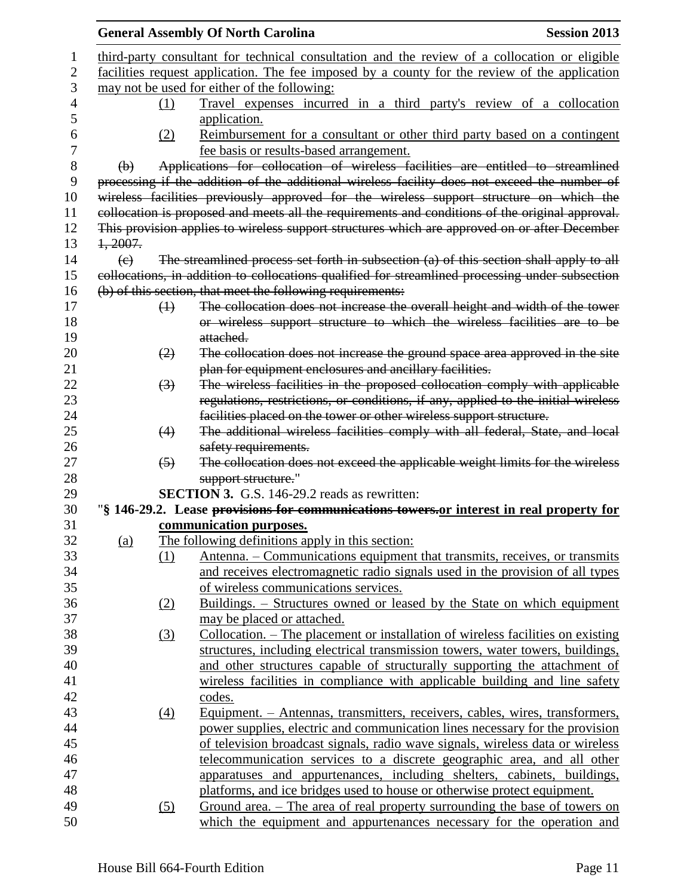|                |                                                                                               |                   | <b>General Assembly Of North Carolina</b>                                                                                                                      | <b>Session 2013</b> |  |
|----------------|-----------------------------------------------------------------------------------------------|-------------------|----------------------------------------------------------------------------------------------------------------------------------------------------------------|---------------------|--|
| 1              |                                                                                               |                   | third-party consultant for technical consultation and the review of a collocation or eligible                                                                  |                     |  |
| $\overline{2}$ | facilities request application. The fee imposed by a county for the review of the application |                   |                                                                                                                                                                |                     |  |
| 3              | may not be used for either of the following:                                                  |                   |                                                                                                                                                                |                     |  |
| 4              |                                                                                               | (1)               | Travel expenses incurred in a third party's review of a collocation                                                                                            |                     |  |
| 5              |                                                                                               |                   | application.                                                                                                                                                   |                     |  |
| 6              |                                                                                               | (2)               | Reimbursement for a consultant or other third party based on a contingent                                                                                      |                     |  |
| 7              |                                                                                               |                   | fee basis or results-based arrangement.                                                                                                                        |                     |  |
| 8              | $\Theta$                                                                                      |                   | Applications for collocation of wireless facilities are entitled to streamlined                                                                                |                     |  |
| 9              |                                                                                               |                   | processing if the addition of the additional wireless facility does not exceed the number of                                                                   |                     |  |
| 10             |                                                                                               |                   | wireless facilities previously approved for the wireless support structure on which the                                                                        |                     |  |
| 11             |                                                                                               |                   | collocation is proposed and meets all the requirements and conditions of the original approval.                                                                |                     |  |
| 12             |                                                                                               |                   | This provision applies to wireless support structures which are approved on or after December                                                                  |                     |  |
| 13             | 1,2007.                                                                                       |                   |                                                                                                                                                                |                     |  |
| 14             | $\left( e\right)$                                                                             |                   | The streamlined process set forth in subsection (a) of this section shall apply to all                                                                         |                     |  |
| 15             |                                                                                               |                   | collocations, in addition to collocations qualified for streamlined processing under subsection                                                                |                     |  |
| 16             |                                                                                               |                   | (b) of this section, that meet the following requirements:                                                                                                     |                     |  |
| 17             |                                                                                               | $\leftrightarrow$ | The collocation does not increase the overall height and width of the tower                                                                                    |                     |  |
| 18             |                                                                                               |                   | or wireless support structure to which the wireless facilities are to be                                                                                       |                     |  |
| 19             |                                                                                               |                   | attached.                                                                                                                                                      |                     |  |
| 20             |                                                                                               | (2)               | The collocation does not increase the ground space area approved in the site                                                                                   |                     |  |
| 21             |                                                                                               |                   | plan for equipment enclosures and ancillary facilities.                                                                                                        |                     |  |
| 22             |                                                                                               | $\left(3\right)$  | The wireless facilities in the proposed collocation comply with applicable                                                                                     |                     |  |
| 23             |                                                                                               |                   | regulations, restrictions, or conditions, if any, applied to the initial wireless                                                                              |                     |  |
| 24             |                                                                                               |                   | facilities placed on the tower or other wireless support structure.                                                                                            |                     |  |
| 25             |                                                                                               | (4)               | The additional wireless facilities comply with all federal, State, and local                                                                                   |                     |  |
| 26             |                                                                                               |                   | safety requirements.                                                                                                                                           |                     |  |
| 27             |                                                                                               | $\left(5\right)$  | The collocation does not exceed the applicable weight limits for the wireless                                                                                  |                     |  |
| 28             |                                                                                               |                   | support structure."                                                                                                                                            |                     |  |
| 29             |                                                                                               |                   | <b>SECTION 3.</b> G.S. 146-29.2 reads as rewritten:                                                                                                            |                     |  |
| 30             |                                                                                               |                   | "\\$ 146-29.2. Lease provisions for communications towers, or interest in real property for                                                                    |                     |  |
| 31             |                                                                                               |                   | communication purposes.                                                                                                                                        |                     |  |
| 32             | <u>(a)</u>                                                                                    |                   | The following definitions apply in this section:                                                                                                               |                     |  |
| 33             |                                                                                               | (1)               | Antenna. – Communications equipment that transmits, receives, or transmits                                                                                     |                     |  |
| 34             |                                                                                               |                   | and receives electromagnetic radio signals used in the provision of all types                                                                                  |                     |  |
| 35             |                                                                                               |                   | of wireless communications services.                                                                                                                           |                     |  |
| 36             |                                                                                               | (2)               | Buildings. – Structures owned or leased by the State on which equipment                                                                                        |                     |  |
| 37             |                                                                                               |                   | may be placed or attached.                                                                                                                                     |                     |  |
| 38             |                                                                                               | (3)               | <u>Collocation. – The placement or installation of wireless facilities on existing</u>                                                                         |                     |  |
| 39             |                                                                                               |                   | structures, including electrical transmission towers, water towers, buildings,                                                                                 |                     |  |
| 40<br>41       |                                                                                               |                   | and other structures capable of structurally supporting the attachment of                                                                                      |                     |  |
| 42             |                                                                                               |                   | wireless facilities in compliance with applicable building and line safety                                                                                     |                     |  |
|                |                                                                                               |                   | codes.                                                                                                                                                         |                     |  |
| 43             |                                                                                               | $\underline{(4)}$ | <u>Equipment. – Antennas, transmitters, receivers, cables, wires, transformers,</u>                                                                            |                     |  |
| 44<br>45       |                                                                                               |                   | power supplies, electric and communication lines necessary for the provision<br>of television broadcast signals, radio wave signals, wireless data or wireless |                     |  |
| 46             |                                                                                               |                   | telecommunication services to a discrete geographic area, and all other                                                                                        |                     |  |
| 47             |                                                                                               |                   | apparatuses and appurtenances, including shelters, cabinets, buildings,                                                                                        |                     |  |
| 48             |                                                                                               |                   | platforms, and ice bridges used to house or otherwise protect equipment.                                                                                       |                     |  |
| 49             |                                                                                               | (5)               | <u>Ground area. – The area of real property surrounding the base of towers on</u>                                                                              |                     |  |
| 50             |                                                                                               |                   | which the equipment and appurtenances necessary for the operation and                                                                                          |                     |  |
|                |                                                                                               |                   |                                                                                                                                                                |                     |  |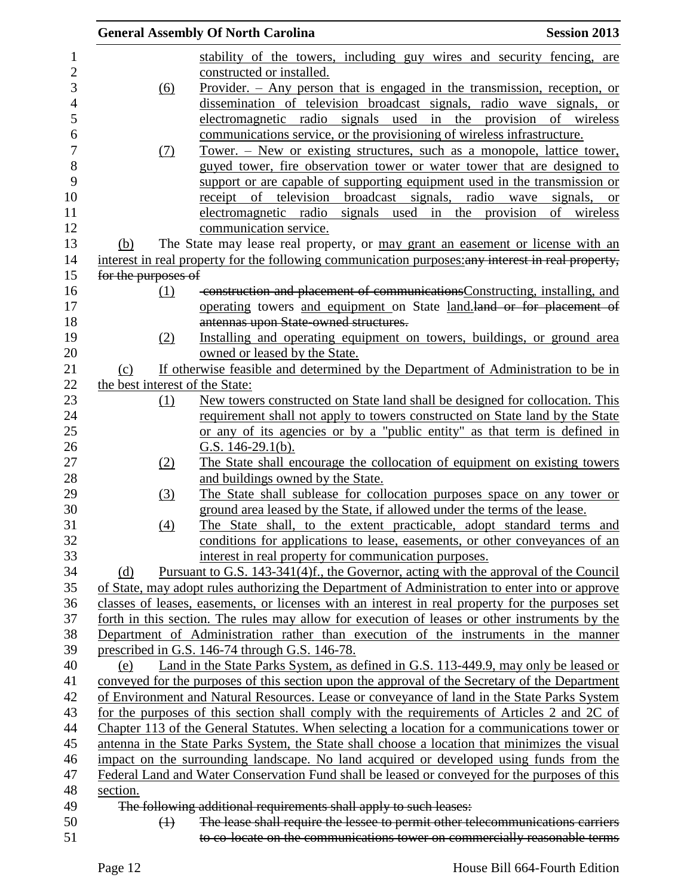|                |                                 | <b>General Assembly Of North Carolina</b>                                                                                                           | <b>Session 2013</b> |
|----------------|---------------------------------|-----------------------------------------------------------------------------------------------------------------------------------------------------|---------------------|
| 1              |                                 | stability of the towers, including guy wires and security fencing, are                                                                              |                     |
| $\overline{c}$ |                                 | constructed or installed.                                                                                                                           |                     |
| 3              | <u>(6)</u>                      | Provider. $-$ Any person that is engaged in the transmission, reception, or                                                                         |                     |
| $\overline{4}$ |                                 | dissemination of television broadcast signals, radio wave signals, or                                                                               |                     |
| 5              |                                 | electromagnetic radio signals used in the provision of wireless                                                                                     |                     |
| 6              |                                 | communications service, or the provisioning of wireless infrastructure.                                                                             |                     |
| 7              | (7)                             | <u>Tower. – New or existing structures, such as a monopole, lattice tower,</u>                                                                      |                     |
| 8              |                                 | guyed tower, fire observation tower or water tower that are designed to                                                                             |                     |
| 9              |                                 | support or are capable of supporting equipment used in the transmission or                                                                          |                     |
| 10             |                                 | receipt of television broadcast signals, radio wave signals,                                                                                        | <sub>or</sub>       |
| 11             |                                 | signals used in the provision<br><u>electromagnetic</u> radio                                                                                       | of wireless         |
| 12             |                                 | communication service.                                                                                                                              |                     |
| 13             | (b)                             | The State may lease real property, or may grant an easement or license with an                                                                      |                     |
| 14             |                                 | interest in real property for the following communication purposes: any interest in real property,                                                  |                     |
| 15             | for the purposes of             |                                                                                                                                                     |                     |
| 16             | (1)                             | construction and placement of communications Constructing, installing, and                                                                          |                     |
| 17             |                                 | operating towers and equipment on State land.land or for placement of                                                                               |                     |
| 18             |                                 | antennas upon State-owned structures.                                                                                                               |                     |
|                | (2)                             | Installing and operating equipment on towers, buildings, or ground area                                                                             |                     |
|                |                                 | owned or leased by the State.                                                                                                                       |                     |
|                | (c)                             | If otherwise feasible and determined by the Department of Administration to be in                                                                   |                     |
|                | the best interest of the State: |                                                                                                                                                     |                     |
|                | $\Omega$                        | New towers constructed on State land shall be designed for collocation. This                                                                        |                     |
|                |                                 | requirement shall not apply to towers constructed on State land by the State                                                                        |                     |
|                |                                 | or any of its agencies or by a "public entity" as that term is defined in                                                                           |                     |
| 26             |                                 | G.S. $146-29.1(b)$ .                                                                                                                                |                     |
|                | (2)                             | The State shall encourage the collocation of equipment on existing towers                                                                           |                     |
| 28             |                                 | and buildings owned by the State.                                                                                                                   |                     |
| 29<br>30       | (3)                             | The State shall sublease for collocation purposes space on any tower or                                                                             |                     |
|                |                                 | ground area leased by the State, if allowed under the terms of the lease.                                                                           |                     |
|                | (4)                             | The State shall, to the extent practicable, adopt standard terms and                                                                                |                     |
|                |                                 | conditions for applications to lease, easements, or other conveyances of an                                                                         |                     |
|                |                                 | interest in real property for communication purposes.                                                                                               |                     |
|                | (d)                             | Pursuant to G.S. 143-341(4)f., the Governor, acting with the approval of the Council                                                                |                     |
|                |                                 | of State, may adopt rules authorizing the Department of Administration to enter into or approve                                                     |                     |
| 36             |                                 | classes of leases, easements, or licenses with an interest in real property for the purposes set                                                    |                     |
| 37             |                                 | forth in this section. The rules may allow for execution of leases or other instruments by the                                                      |                     |
| 38             |                                 | Department of Administration rather than execution of the instruments in the manner                                                                 |                     |
| 39<br>40       |                                 | prescribed in G.S. 146-74 through G.S. 146-78.                                                                                                      |                     |
|                | (e)                             | Land in the State Parks System, as defined in G.S. 113-449.9, may only be leased or                                                                 |                     |
| 42             |                                 | conveyed for the purposes of this section upon the approval of the Secretary of the Department                                                      |                     |
|                |                                 | of Environment and Natural Resources. Lease or conveyance of land in the State Parks System                                                         |                     |
|                |                                 | for the purposes of this section shall comply with the requirements of Articles 2 and 2C of                                                         |                     |
|                |                                 | Chapter 113 of the General Statutes. When selecting a location for a communications tower or                                                        |                     |
|                |                                 | antenna in the State Parks System, the State shall choose a location that minimizes the visual                                                      |                     |
|                |                                 | impact on the surrounding landscape. No land acquired or developed using funds from the                                                             |                     |
|                |                                 | Federal Land and Water Conservation Fund shall be leased or conveyed for the purposes of this                                                       |                     |
|                | section.                        |                                                                                                                                                     |                     |
|                | $\leftrightarrow$               | The following additional requirements shall apply to such leases:<br>The lease shall require the lessee to permit other telecommunications carriers |                     |
|                |                                 | to co-locate on the communications tower on commercially reasonable terms                                                                           |                     |
|                |                                 |                                                                                                                                                     |                     |